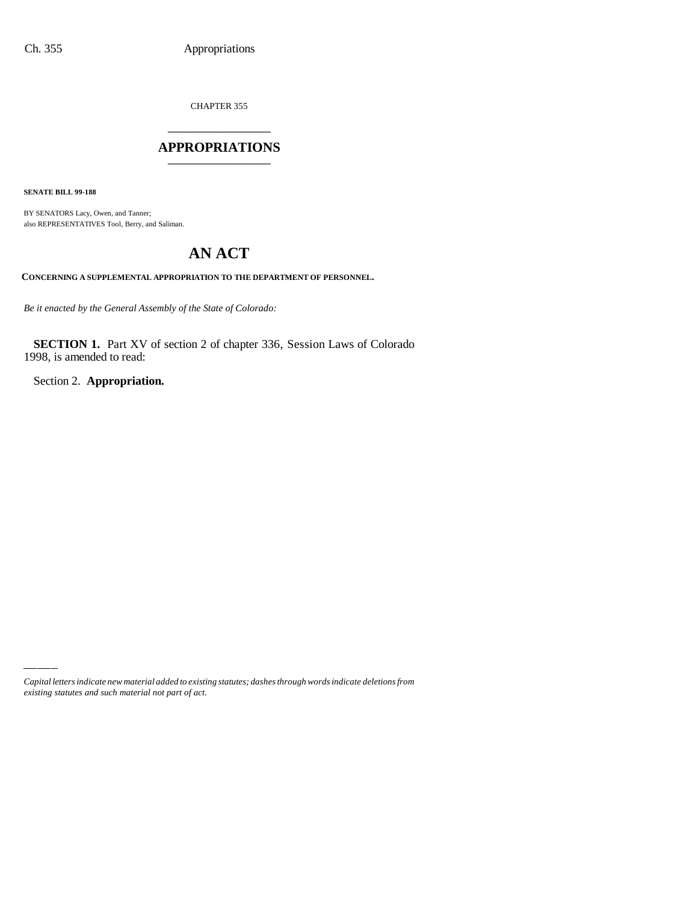CHAPTER 355

## \_\_\_\_\_\_\_\_\_\_\_\_\_\_\_ **APPROPRIATIONS** \_\_\_\_\_\_\_\_\_\_\_\_\_\_\_

**SENATE BILL 99-188**

BY SENATORS Lacy, Owen, and Tanner; also REPRESENTATIVES Tool, Berry, and Saliman.

# **AN ACT**

**CONCERNING A SUPPLEMENTAL APPROPRIATION TO THE DEPARTMENT OF PERSONNEL.**

*Be it enacted by the General Assembly of the State of Colorado:*

**SECTION 1.** Part XV of section 2 of chapter 336, Session Laws of Colorado 1998, is amended to read:

Section 2. **Appropriation.**

*Capital letters indicate new material added to existing statutes; dashes through words indicate deletions from existing statutes and such material not part of act.*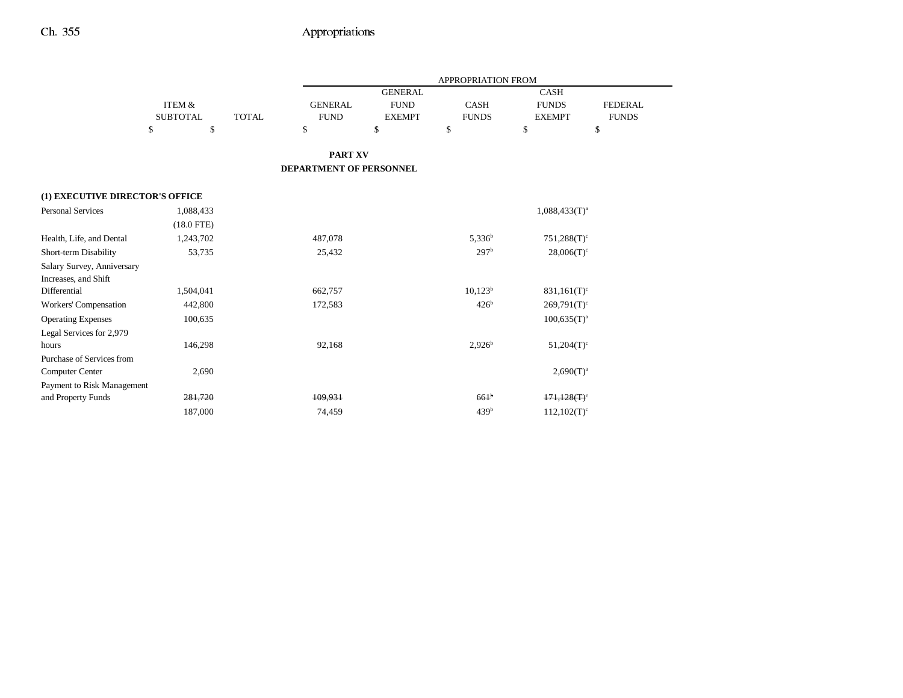|                                 |                   |              |                                |                | <b>APPROPRIATION FROM</b> |                           |              |
|---------------------------------|-------------------|--------------|--------------------------------|----------------|---------------------------|---------------------------|--------------|
|                                 |                   |              |                                | <b>GENERAL</b> |                           | <b>CASH</b>               |              |
|                                 | <b>ITEM &amp;</b> |              | <b>GENERAL</b>                 | <b>FUND</b>    | <b>CASH</b>               | <b>FUNDS</b>              | FEDERAL      |
|                                 | <b>SUBTOTAL</b>   | <b>TOTAL</b> | <b>FUND</b>                    | <b>EXEMPT</b>  | <b>FUNDS</b>              | <b>EXEMPT</b>             | <b>FUNDS</b> |
|                                 | \$<br>\$          |              | \$                             | \$             | \$                        | \$                        | \$           |
|                                 |                   |              | <b>PART XV</b>                 |                |                           |                           |              |
|                                 |                   |              | <b>DEPARTMENT OF PERSONNEL</b> |                |                           |                           |              |
| (1) EXECUTIVE DIRECTOR'S OFFICE |                   |              |                                |                |                           |                           |              |
| <b>Personal Services</b>        | 1,088,433         |              |                                |                |                           | $1,088,433(T)^a$          |              |
|                                 | $(18.0$ FTE)      |              |                                |                |                           |                           |              |
| Health, Life, and Dental        | 1,243,702         |              | 487,078                        |                | $5,336^b$                 | $751,288(T)^c$            |              |
| Short-term Disability           | 53,735            |              | 25,432                         |                | 297 <sup>b</sup>          | $28,006(T)^c$             |              |
| Salary Survey, Anniversary      |                   |              |                                |                |                           |                           |              |
| Increases, and Shift            |                   |              |                                |                |                           |                           |              |
| Differential                    | 1,504,041         |              | 662,757                        |                | $10,123^b$                | $831,161(T)^c$            |              |
| Workers' Compensation           | 442,800           |              | 172,583                        |                | 426 <sup>b</sup>          | $269,791(T)$ <sup>c</sup> |              |
| <b>Operating Expenses</b>       | 100,635           |              |                                |                |                           | $100,635(T)^a$            |              |
| Legal Services for 2,979        |                   |              |                                |                |                           |                           |              |
| hours                           | 146,298           |              | 92,168                         |                | $2.926^{b}$               | $51,204(T)$ <sup>c</sup>  |              |
| Purchase of Services from       |                   |              |                                |                |                           |                           |              |
| <b>Computer Center</b>          | 2,690             |              |                                |                |                           | $2,690(T)^{a}$            |              |
| Payment to Risk Management      |                   |              |                                |                |                           |                           |              |
| and Property Funds              | 281,720           |              | 109.931                        |                | 661 <sup>b</sup>          | $171,128(T)$ <sup>c</sup> |              |
|                                 | 187,000           |              | 74,459                         |                | 439 <sup>b</sup>          | $112,102(T)^c$            |              |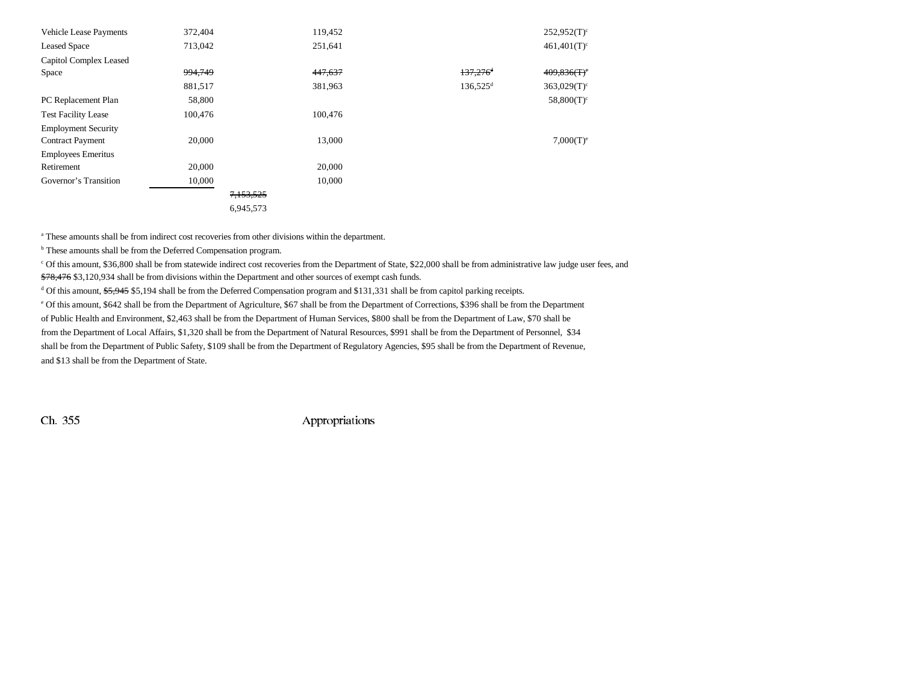| <b>Vehicle Lease Payments</b> | 372,404 |           | 119,452 |                        | $252,952(T)^c$            |
|-------------------------------|---------|-----------|---------|------------------------|---------------------------|
| <b>Leased Space</b>           | 713,042 |           | 251,641 |                        | $461,401(T)^c$            |
| Capitol Complex Leased        |         |           |         |                        |                           |
| Space                         | 994,749 |           | 447,637 | $137,276$ <sup>d</sup> | 409,836(f)                |
|                               | 881,517 |           | 381,963 | $136,525$ <sup>d</sup> | $363,029(T)$ <sup>c</sup> |
| PC Replacement Plan           | 58,800  |           |         |                        | $58,800(T)^c$             |
| <b>Test Facility Lease</b>    | 100,476 |           | 100,476 |                        |                           |
| <b>Employment Security</b>    |         |           |         |                        |                           |
| <b>Contract Payment</b>       | 20,000  |           | 13,000  |                        | $7,000(T)^e$              |
| <b>Employees Emeritus</b>     |         |           |         |                        |                           |
| Retirement                    | 20,000  |           | 20,000  |                        |                           |
| Governor's Transition         | 10,000  |           | 10,000  |                        |                           |
|                               |         | 7,153,525 |         |                        |                           |
|                               |         | 6,945,573 |         |                        |                           |

a These amounts shall be from indirect cost recoveries from other divisions within the department.

b These amounts shall be from the Deferred Compensation program.

c Of this amount, \$36,800 shall be from statewide indirect cost recoveries from the Department of State, \$22,000 shall be from administrative law judge user fees, and \$78,476 \$3,120,934 shall be from divisions within the Department and other sources of exempt cash funds.

d Of this amount, \$5,945 \$5,194 shall be from the Deferred Compensation program and \$131,331 shall be from capitol parking receipts.

e Of this amount, \$642 shall be from the Department of Agriculture, \$67 shall be from the Department of Corrections, \$396 shall be from the Department

of Public Health and Environment, \$2,463 shall be from the Department of Human Services, \$800 shall be from the Department of Law, \$70 shall be

from the Department of Local Affairs, \$1,320 shall be from the Department of Natural Resources, \$991 shall be from the Department of Personnel, \$34 shall be from the Department of Public Safety, \$109 shall be from the Department of Regulatory Agencies, \$95 shall be from the Department of Revenue, and \$13 shall be from the Department of State.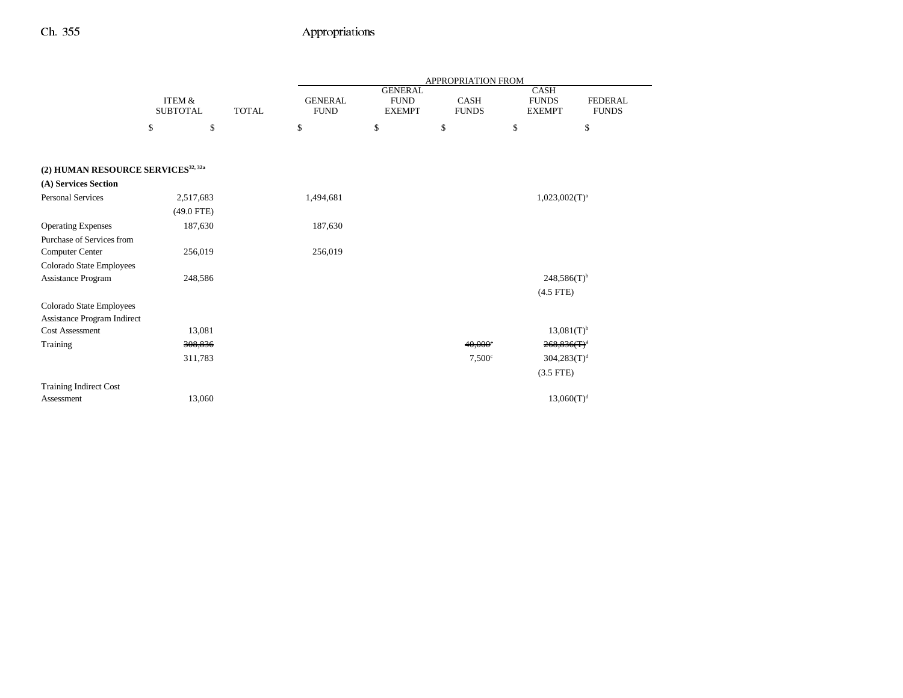|                                                |                                      |              |                               |                                                | APPROPRIATION FROM          |                                              |                                |
|------------------------------------------------|--------------------------------------|--------------|-------------------------------|------------------------------------------------|-----------------------------|----------------------------------------------|--------------------------------|
|                                                | <b>ITEM &amp;</b><br><b>SUBTOTAL</b> | <b>TOTAL</b> | <b>GENERAL</b><br><b>FUND</b> | <b>GENERAL</b><br><b>FUND</b><br><b>EXEMPT</b> | <b>CASH</b><br><b>FUNDS</b> | <b>CASH</b><br><b>FUNDS</b><br><b>EXEMPT</b> | <b>FEDERAL</b><br><b>FUNDS</b> |
|                                                | \$<br>\$                             |              | \$                            | \$                                             | \$                          | \$                                           | \$                             |
|                                                |                                      |              |                               |                                                |                             |                                              |                                |
| (2) HUMAN RESOURCE SERVICES <sup>32, 32a</sup> |                                      |              |                               |                                                |                             |                                              |                                |
| (A) Services Section                           |                                      |              |                               |                                                |                             |                                              |                                |
| <b>Personal Services</b>                       | 2,517,683                            |              | 1,494,681                     |                                                |                             | $1,023,002(T)^a$                             |                                |
|                                                | $(49.0$ FTE)                         |              |                               |                                                |                             |                                              |                                |
| <b>Operating Expenses</b>                      | 187,630                              |              | 187,630                       |                                                |                             |                                              |                                |
| Purchase of Services from                      |                                      |              |                               |                                                |                             |                                              |                                |
| Computer Center                                | 256,019                              |              | 256,019                       |                                                |                             |                                              |                                |
| Colorado State Employees                       |                                      |              |                               |                                                |                             |                                              |                                |
| Assistance Program                             | 248,586                              |              |                               |                                                |                             | $248,586(T)$ <sup>b</sup>                    |                                |
|                                                |                                      |              |                               |                                                |                             | $(4.5$ FTE)                                  |                                |
| Colorado State Employees                       |                                      |              |                               |                                                |                             |                                              |                                |
| Assistance Program Indirect                    |                                      |              |                               |                                                |                             |                                              |                                |
| <b>Cost Assessment</b>                         | 13,081                               |              |                               |                                                |                             | $13,081(T)$ <sup>b</sup>                     |                                |
| Training                                       | 308,836                              |              |                               |                                                | 40,000°                     | $268,836(T)^d$                               |                                |
|                                                | 311,783                              |              |                               |                                                | $7,500$ c                   | $304,283(T)^d$                               |                                |
|                                                |                                      |              |                               |                                                |                             | $(3.5$ FTE)                                  |                                |
| <b>Training Indirect Cost</b>                  |                                      |              |                               |                                                |                             |                                              |                                |
| Assessment                                     | 13,060                               |              |                               |                                                |                             | 13,060(T) <sup>d</sup>                       |                                |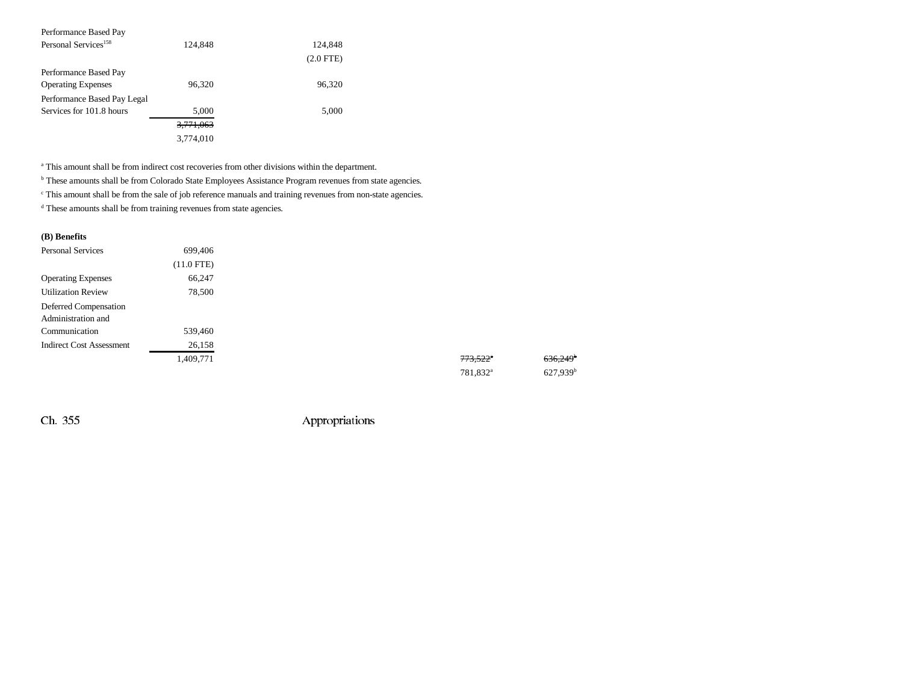| Performance Based Pay            |                      |             |
|----------------------------------|----------------------|-------------|
| Personal Services <sup>158</sup> | 124,848              | 124,848     |
|                                  |                      | $(2.0$ FTE) |
| Performance Based Pay            |                      |             |
| <b>Operating Expenses</b>        | 96,320               | 96,320      |
| Performance Based Pay Legal      |                      |             |
| Services for 101.8 hours         | 5,000                | 5,000       |
|                                  | <del>3,771,063</del> |             |
|                                  | 3.774.010            |             |

<sup>a</sup> This amount shall be from indirect cost recoveries from other divisions within the department.

**b** These amounts shall be from Colorado State Employees Assistance Program revenues from state agencies.

c This amount shall be from the sale of job reference manuals and training revenues from non-state agencies.

d These amounts shall be from training revenues from state agencies.

#### **(B) Benefits**

| <b>Personal Services</b>        | 699,406      |  |                        |                      |
|---------------------------------|--------------|--|------------------------|----------------------|
|                                 | $(11.0$ FTE) |  |                        |                      |
| <b>Operating Expenses</b>       | 66,247       |  |                        |                      |
| <b>Utilization Review</b>       | 78,500       |  |                        |                      |
| Deferred Compensation           |              |  |                        |                      |
| Administration and              |              |  |                        |                      |
| Communication                   | 539,460      |  |                        |                      |
| <b>Indirect Cost Assessment</b> | 26,158       |  |                        |                      |
|                                 | 1,409,771    |  | $773.522$ <sup>a</sup> | 636,249              |
|                                 |              |  | 781,832 <sup>a</sup>   | 627.939 <sup>b</sup> |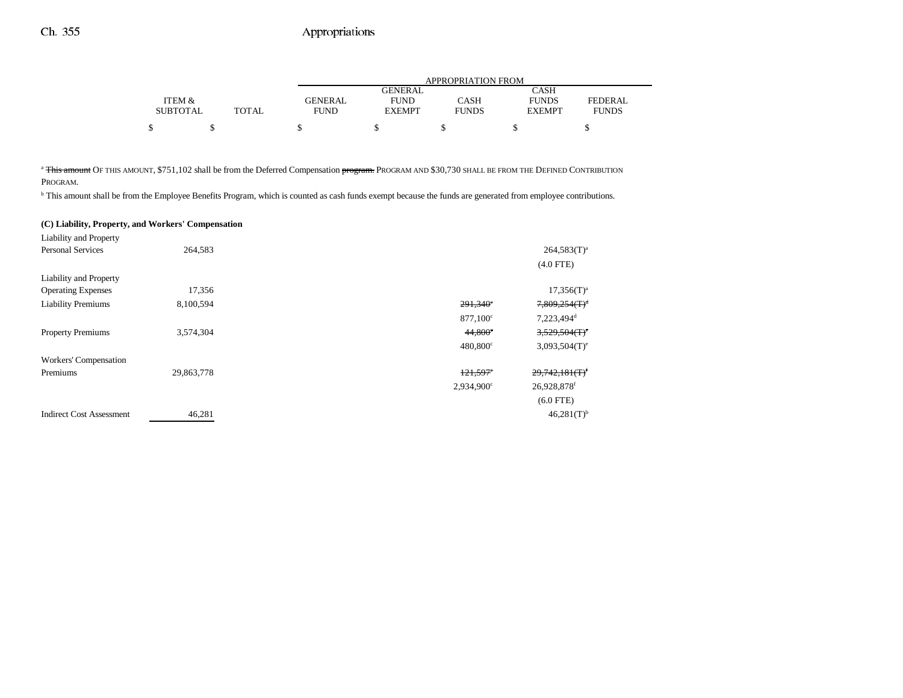|                 |              |                |               | APPROPRIATION FROM |               |                |
|-----------------|--------------|----------------|---------------|--------------------|---------------|----------------|
|                 |              |                | GENERAL       |                    | CASH          |                |
| ITEM &          |              | <b>GENERAL</b> | <b>FUND</b>   | CASH               | <b>FUNDS</b>  | <b>FEDERAL</b> |
| <b>SUBTOTAL</b> | <b>TOTAL</b> | <b>FUND</b>    | <b>EXEMPT</b> | <b>FUNDS</b>       | <b>EXEMPT</b> | <b>FUNDS</b>   |
| ሖ               |              |                |               |                    |               |                |

<sup>a</sup> This amount OF THIS AMOUNT, \$751,102 shall be from the Deferred Compensation program. PROGRAM AND \$30,730 SHALL BE FROM THE DEFINED CONTRIBUTION

PROGRAM.

<sup>b</sup> This amount shall be from the Employee Benefits Program, which is counted as cash funds exempt because the funds are generated from employee contributions.

#### **(C) Liability, Property, and Workers' Compensation**

| Liability and Property          |            |                        |                                          |
|---------------------------------|------------|------------------------|------------------------------------------|
| <b>Personal Services</b>        | 264,583    |                        | $264,583(T)^{a}$                         |
|                                 |            |                        | $(4.0$ FTE)                              |
| Liability and Property          |            |                        |                                          |
| <b>Operating Expenses</b>       | 17,356     |                        | $17,356(T)^a$                            |
| <b>Liability Premiums</b>       | 8,100,594  | $291,340$ °            | $7,809,254(T)^d$                         |
|                                 |            | $877,100^{\circ}$      | 7,223,494 <sup>d</sup>                   |
| <b>Property Premiums</b>        | 3,574,304  | 44,800°                | $3,529,504$ (T) <sup>e</sup>             |
|                                 |            | 480,800°               | $3,093,504(T)$ <sup>e</sup>              |
| Workers' Compensation           |            |                        |                                          |
| Premiums                        | 29,863,778 | $121,597$ <sup>e</sup> | $29,742,181$ <sub>(T)</sub> <sup>f</sup> |
|                                 |            | $2,934,900^{\circ}$    | 26,928,878f                              |
|                                 |            |                        | $(6.0$ FTE)                              |
| <b>Indirect Cost Assessment</b> | 46,281     |                        | $46,281(T)$ <sup>b</sup>                 |
|                                 |            |                        |                                          |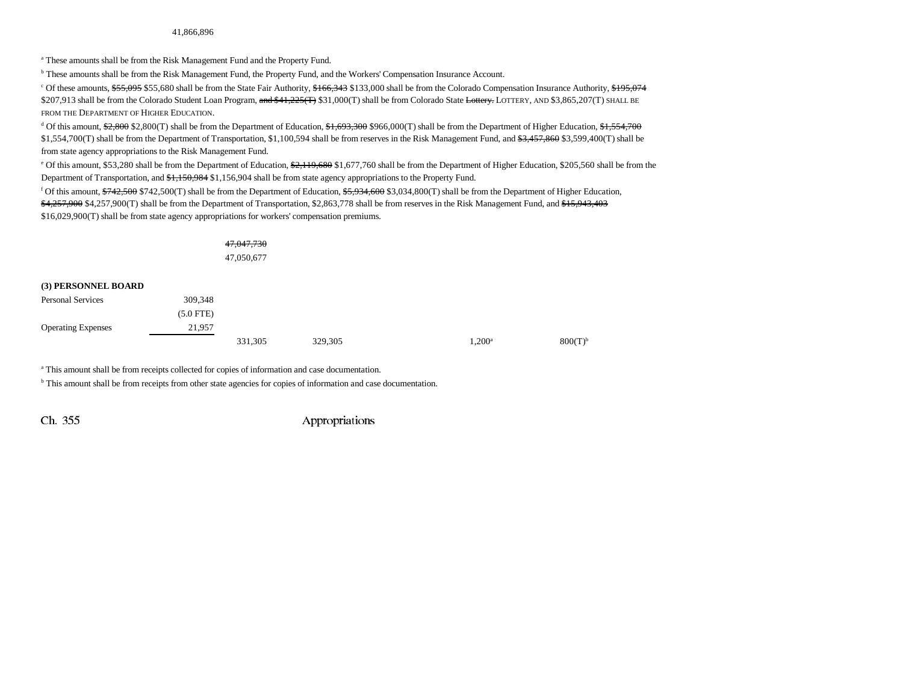a These amounts shall be from the Risk Management Fund and the Property Fund.

b These amounts shall be from the Risk Management Fund, the Property Fund, and the Workers' Compensation Insurance Account.

<sup>c</sup> Of these amounts, \$55,095 \$55,680 shall be from the State Fair Authority, \$166,343 \$133,000 shall be from the Colorado Compensation Insurance Authority, \$195,074 \$207,913 shall be from the Colorado Student Loan Program, <del>and \$41,225(T)</del> \$31,000(T) shall be from Colorado State <del>Lottery.</del> LOTTERY, AND \$3,865,207(T) SHALL BE FROM THE DEPARTMENT OF HIGHER EDUCATION.

<sup>d</sup> Of this amount, \$2,800 \$2,800(T) shall be from the Department of Education, \$1,693,300 \$966,000(T) shall be from the Department of Higher Education, \$1,554,700 \$1,554,700(T) shall be from the Department of Transportation, \$1,100,594 shall be from reserves in the Risk Management Fund, and \$3,457,860 \$3,599,400(T) shall be from state agency appropriations to the Risk Management Fund.

<sup>e</sup> Of this amount, \$53,280 shall be from the Department of Education,  $\frac{62}{119,680}$  \$1,677,760 shall be from the Department of Higher Education, \$205,560 shall be from the Department of Transportation, and \$1,150,984 \$1,156,904 shall be from state agency appropriations to the Property Fund.

<sup>f</sup> Of this amount,  $\frac{6742}{500}$  \$742,500(T) shall be from the Department of Education,  $\frac{65,934,600}{5,034,800}$ (T) shall be from the Department of Higher Education, \$4,257,900 \$4,257,900(T) shall be from the Department of Transportation, \$2,863,778 shall be from reserves in the Risk Management Fund, and \$15,943,403 \$16,029,900(T) shall be from state agency appropriations for workers' compensation premiums.

|                           |             | 47,047,730 |         |           |                       |
|---------------------------|-------------|------------|---------|-----------|-----------------------|
|                           |             | 47,050,677 |         |           |                       |
| (3) PERSONNEL BOARD       |             |            |         |           |                       |
| <b>Personal Services</b>  | 309,348     |            |         |           |                       |
|                           | $(5.0$ FTE) |            |         |           |                       |
| <b>Operating Expenses</b> | 21,957      |            |         |           |                       |
|                           |             | 331,305    | 329,305 | $1,200^a$ | $800(T)$ <sup>b</sup> |

a This amount shall be from receipts collected for copies of information and case documentation.

<sup>b</sup> This amount shall be from receipts from other state agencies for copies of information and case documentation.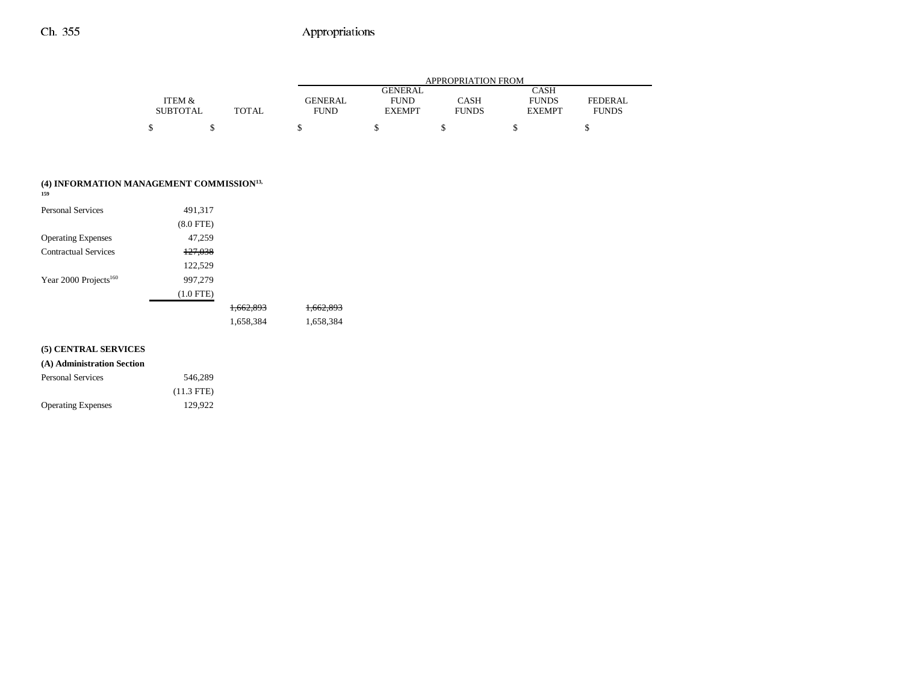|                 |              |                |                | APPROPRIATION FROM |               |              |
|-----------------|--------------|----------------|----------------|--------------------|---------------|--------------|
|                 |              |                | <b>GENERAL</b> |                    | <b>CASH</b>   |              |
| ITEM &          |              | <b>GENERAL</b> | <b>FUND</b>    | CASH               | <b>FUNDS</b>  | FEDERAL      |
| <b>SUBTOTAL</b> | <b>TOTAL</b> | <b>FUND</b>    | <b>EXEMPT</b>  | <b>FUNDS</b>       | <b>EXEMPT</b> | <b>FUNDS</b> |
| \$              |              |                |                |                    |               |              |

| (4) INFORMATION MANAGEMENT COMMISSION <sup>13,</sup><br>159 |                    |                      |           |
|-------------------------------------------------------------|--------------------|----------------------|-----------|
| <b>Personal Services</b>                                    | 491,317            |                      |           |
|                                                             | $(8.0$ FTE $)$     |                      |           |
| <b>Operating Expenses</b>                                   | 47,259             |                      |           |
| <b>Contractual Services</b>                                 | <del>127,038</del> |                      |           |
|                                                             | 122,529            |                      |           |
| Year 2000 Projects <sup>160</sup>                           | 997,279            |                      |           |
|                                                             | $(1.0$ FTE)        |                      |           |
|                                                             |                    | <del>1.662.893</del> | 1.002.893 |
|                                                             |                    | 1,658,384            | 1,658,384 |
| (5) CENTRAL SERVICES                                        |                    |                      |           |
| (A) Administration Section                                  |                    |                      |           |
| <b>Personal Services</b>                                    | 546,289            |                      |           |
|                                                             | $(11.3$ FTE)       |                      |           |

Operating Expenses 129,922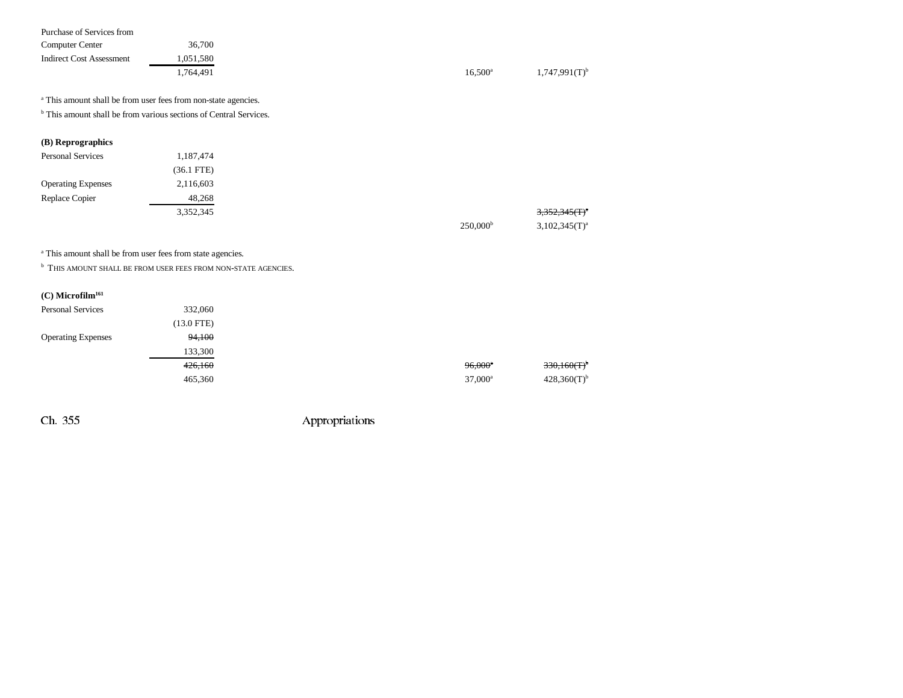| Purchase of Services from       |                                                                              |                   |                             |
|---------------------------------|------------------------------------------------------------------------------|-------------------|-----------------------------|
| Computer Center                 | 36,700                                                                       |                   |                             |
| <b>Indirect Cost Assessment</b> | 1,051,580                                                                    |                   |                             |
|                                 | 1,764,491                                                                    | $16,500^{\rm a}$  | $1,747,991(T)$ <sup>b</sup> |
|                                 | <sup>a</sup> This amount shall be from user fees from non-state agencies.    |                   |                             |
|                                 | <sup>b</sup> This amount shall be from various sections of Central Services. |                   |                             |
| (B) Reprographics               |                                                                              |                   |                             |
| <b>Personal Services</b>        | 1,187,474                                                                    |                   |                             |
|                                 | $(36.1$ FTE)                                                                 |                   |                             |
| <b>Operating Expenses</b>       | 2,116,603                                                                    |                   |                             |
| Replace Copier                  | 48,268                                                                       |                   |                             |
|                                 | 3,352,345                                                                    |                   | $3,352,345(f)^{4}$          |
|                                 |                                                                              | $250,000^{\rm b}$ | $3,102,345(T)^{a}$          |

a This amount shall be from user fees from state agencies.

**b** THIS AMOUNT SHALL BE FROM USER FEES FROM NON-STATE AGENCIES.

| $(C)$ Microfilm <sup>161</sup> |                      |                       |
|--------------------------------|----------------------|-----------------------|
| <b>Personal Services</b>       | 332,060              |                       |
|                                | $(13.0 \text{ FTE})$ |                       |
| <b>Operating Expenses</b>      | 94,100               |                       |
|                                | 133,300              |                       |
|                                | 426,160              | $96,000$ <sup>*</sup> |
|                                | 465,360              | $37,000^{\rm a}$      |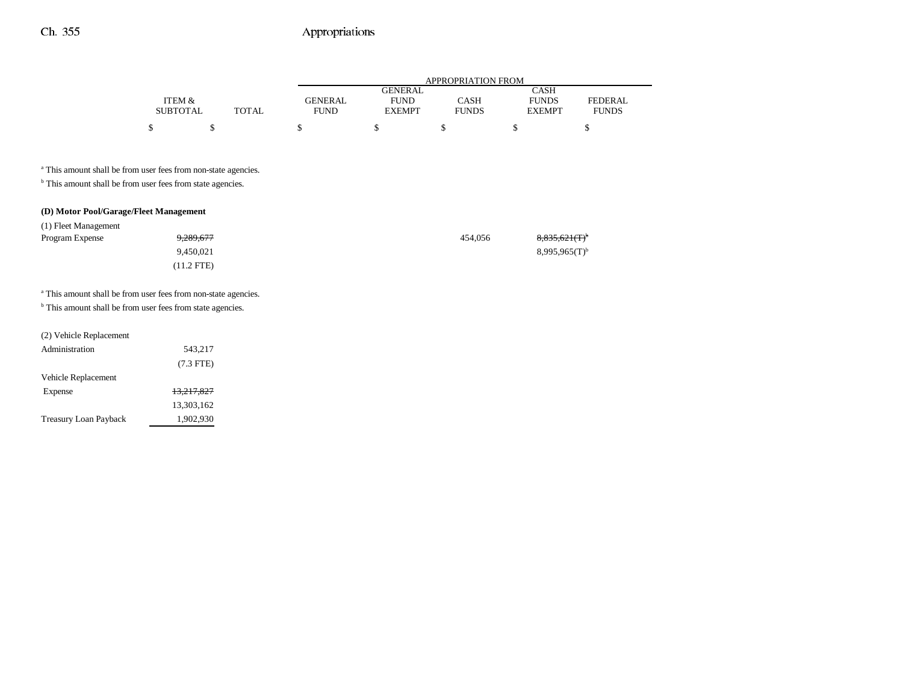|                 |       | APPROPRIATION FROM |                |              |               |              |  |  |
|-----------------|-------|--------------------|----------------|--------------|---------------|--------------|--|--|
|                 |       |                    | <b>GENERAL</b> |              | CASH          |              |  |  |
| ITEM &          |       | GENERAL            | <b>FUND</b>    | CASH         | <b>FUNDS</b>  | FEDERAL      |  |  |
| <b>SUBTOTAL</b> | TOTAL | <b>FUND</b>        | <b>EXEMPT</b>  | <b>FUNDS</b> | <b>EXEMPT</b> | <b>FUNDS</b> |  |  |
| ¢               |       |                    |                |              |               |              |  |  |

a This amount shall be from user fees from non-state agencies.

 $^{\rm b}$  This amount shall be from user fees from state agencies.

#### **(D) Motor Pool/Garage/Fleet Management**

| (1) Fleet Management |                      |         |                              |
|----------------------|----------------------|---------|------------------------------|
| Program Expense      | <del>9,289,677</del> | 454.056 | $8,835,621$ (T) <sup>b</sup> |
|                      | 9.450.021            |         | $8,995,965(T)^{b}$           |
|                      | $(11.2$ FTE)         |         |                              |

<sup>a</sup> This amount shall be from user fees from non-state agencies.

 $^{\rm b}$  This amount shall be from user fees from state agencies.

| (2) Vehicle Replacement      |                       |
|------------------------------|-----------------------|
| Administration               | 543,217               |
|                              | $(7.3$ FTE)           |
| Vehicle Replacement          |                       |
| Expense                      | <del>13.217.827</del> |
|                              | 13,303,162            |
| <b>Treasury Loan Payback</b> | 1,902,930             |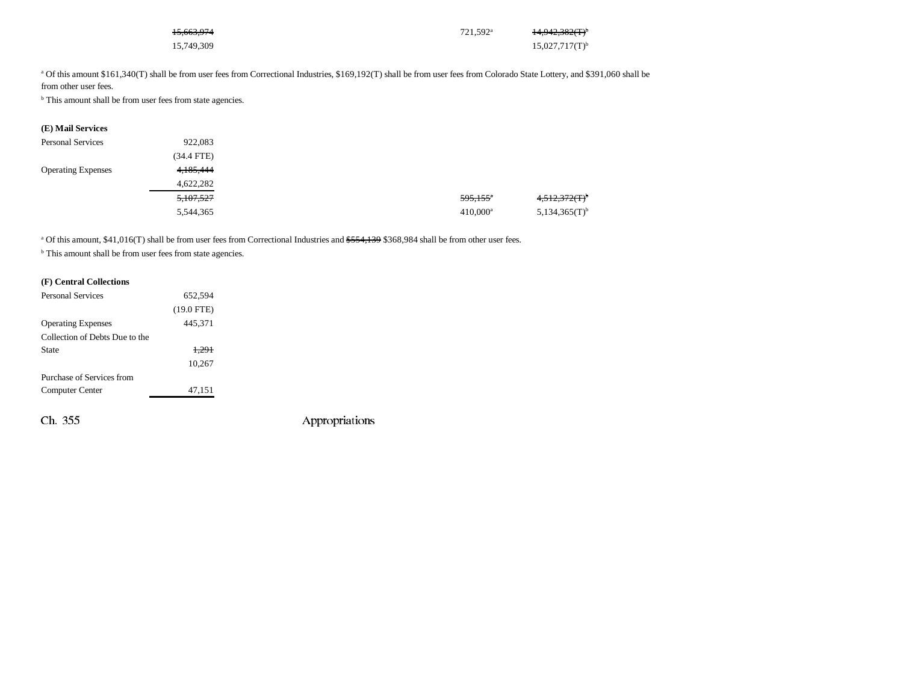| 15,663,974 | 721.592 <sup>a</sup> | 14,942,382(T) <sup>b</sup> |
|------------|----------------------|----------------------------|
| 15,749,309 |                      | $15,027,717(T)^{b}$        |

<sup>a</sup> Of this amount \$161,340(T) shall be from user fees from Correctional Industries, \$169,192(T) shall be from user fees from Colorado State Lottery, and \$391,060 shall be

from other user fees.

<sup>b</sup> This amount shall be from user fees from state agencies.

| (E) Mail Services         |              |                        |  |
|---------------------------|--------------|------------------------|--|
| <b>Personal Services</b>  | 922,083      |                        |  |
|                           | $(34.4$ FTE) |                        |  |
| <b>Operating Expenses</b> | 4,185,444    |                        |  |
|                           | 4,622,282    |                        |  |
|                           | 5,107,527    | $595,155$ <sup>a</sup> |  |
|                           | 5,544,365    | $410,000^a$            |  |

<sup>a</sup> Of this amount, \$41,016(T) shall be from user fees from Correctional Industries and \$554,139 \$368,984 shall be from other user fees.

<sup>b</sup> This amount shall be from user fees from state agencies.

#### **(F) Central Collections**

| <b>Personal Services</b>       | 652,594      |  |
|--------------------------------|--------------|--|
|                                | $(19.0$ FTE) |  |
| <b>Operating Expenses</b>      | 445,371      |  |
| Collection of Debts Due to the |              |  |
| State                          | 1,291        |  |
|                                | 10,267       |  |
| Purchase of Services from      |              |  |
| Computer Center                | 47,151       |  |
|                                |              |  |
|                                |              |  |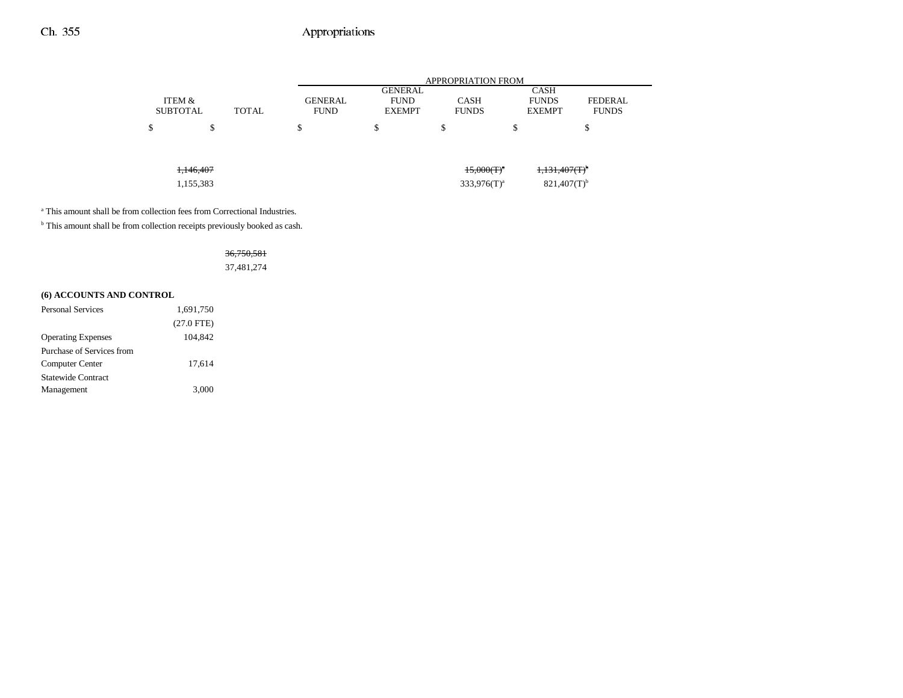| <b>APPROPRIATION FROM</b>                                                                      |  |  |  |  |  |
|------------------------------------------------------------------------------------------------|--|--|--|--|--|
| <b>CASH</b>                                                                                    |  |  |  |  |  |
| <b>CASH</b><br><b>FUNDS</b><br><b>FEDERAL</b><br><b>FUNDS</b><br><b>FUNDS</b><br><b>EXEMPT</b> |  |  |  |  |  |
| ď<br>ъ<br>۰D.<br>D                                                                             |  |  |  |  |  |
|                                                                                                |  |  |  |  |  |
| $1,131,407(T)^{6}$<br>$15,000(T)^{a}$                                                          |  |  |  |  |  |
| $821,407(T)$ <sup>b</sup><br>$333.976(T)^a$                                                    |  |  |  |  |  |
|                                                                                                |  |  |  |  |  |

<sup>a</sup> This amount shall be from collection fees from Correctional Industries.

 $^{\rm b}$  This amount shall be from collection receipts previously booked as cash.

### 36,750,581 37,481,274

### **(6) ACCOUNTS AND CONTROL**

| <b>Personal Services</b>  | 1,691,750    |  |
|---------------------------|--------------|--|
|                           | $(27.0$ FTE) |  |
| <b>Operating Expenses</b> | 104.842      |  |
| Purchase of Services from |              |  |
| Computer Center           | 17,614       |  |
| <b>Statewide Contract</b> |              |  |
| Management                | 3,000        |  |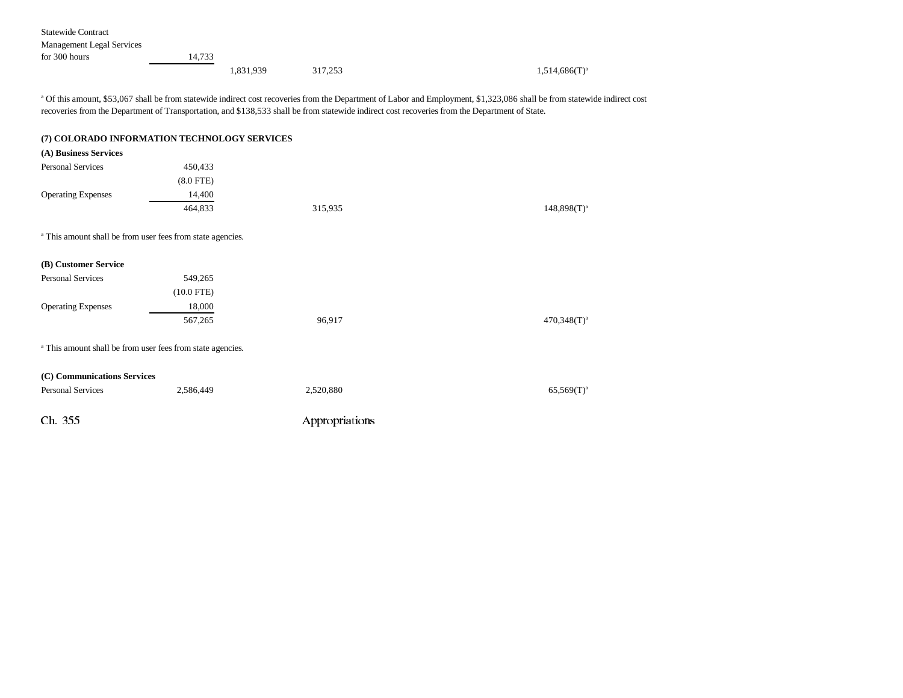Statewide Contract

| Management Legal Services |        |           |         |  |                    |
|---------------------------|--------|-----------|---------|--|--------------------|
| for 300 hours             | 14.733 |           |         |  |                    |
|                           |        | 1,831,939 | 317,253 |  | $1,514,686(T)^{a}$ |

<sup>a</sup> Of this amount, \$53,067 shall be from statewide indirect cost recoveries from the Department of Labor and Employment, \$1,323,086 shall be from statewide indirect cost recoveries from the Department of Transportation, and \$138,533 shall be from statewide indirect cost recoveries from the Department of State.

|                             | (7) COLORADO INFORMATION TECHNOLOGY SERVICES                          |                |                  |
|-----------------------------|-----------------------------------------------------------------------|----------------|------------------|
| (A) Business Services       |                                                                       |                |                  |
| <b>Personal Services</b>    | 450,433                                                               |                |                  |
|                             | $(8.0$ FTE)                                                           |                |                  |
| <b>Operating Expenses</b>   | 14,400                                                                |                |                  |
|                             | 464,833                                                               | 315,935        | $148,898(T)^a$   |
|                             | <sup>a</sup> This amount shall be from user fees from state agencies. |                |                  |
| (B) Customer Service        |                                                                       |                |                  |
| <b>Personal Services</b>    | 549,265                                                               |                |                  |
|                             | $(10.0$ FTE)                                                          |                |                  |
| <b>Operating Expenses</b>   | 18,000                                                                |                |                  |
|                             | 567,265                                                               | 96,917         | $470,348(T)^{a}$ |
|                             | <sup>a</sup> This amount shall be from user fees from state agencies. |                |                  |
| (C) Communications Services |                                                                       |                |                  |
| <b>Personal Services</b>    | 2,586,449                                                             | 2,520,880      | $65,569(T)^{a}$  |
| Ch. 355                     |                                                                       | Appropriations |                  |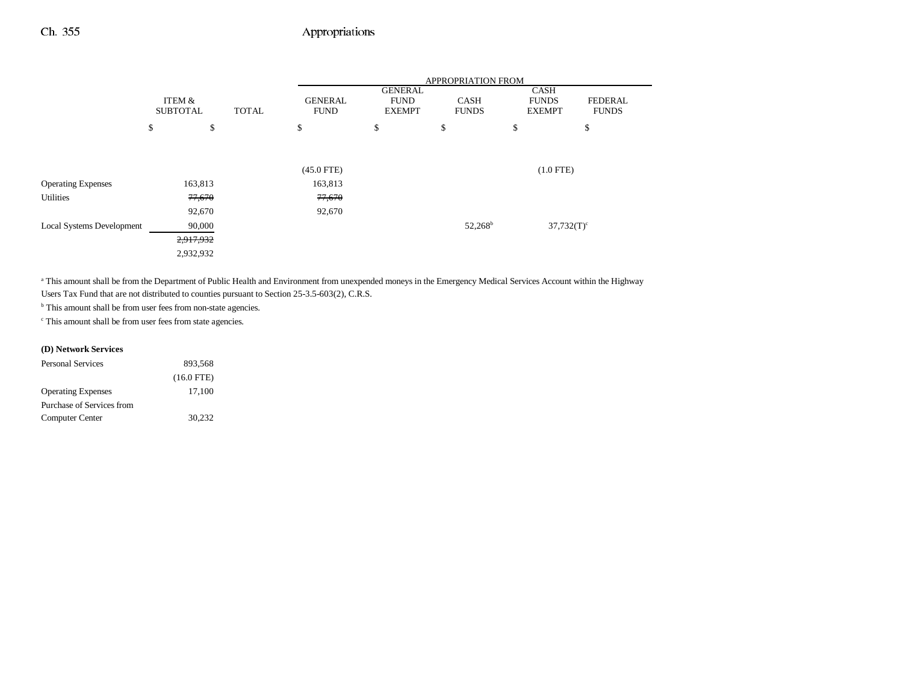|                                  |                           |        |              | APPROPRIATION FROM |                                                |    |                             |                                       |                                |  |
|----------------------------------|---------------------------|--------|--------------|--------------------|------------------------------------------------|----|-----------------------------|---------------------------------------|--------------------------------|--|
|                                  | ITEM &<br><b>SUBTOTAL</b> |        | <b>TOTAL</b> |                    | <b>GENERAL</b><br><b>FUND</b><br><b>EXEMPT</b> |    | <b>CASH</b><br><b>FUNDS</b> | CASH<br><b>FUNDS</b><br><b>EXEMPT</b> | <b>FEDERAL</b><br><b>FUNDS</b> |  |
|                                  | \$                        | \$     |              | \$                 | \$                                             | \$ |                             | \$                                    | \$                             |  |
|                                  |                           |        |              |                    |                                                |    |                             |                                       |                                |  |
|                                  |                           |        |              | $(45.0$ FTE)       |                                                |    |                             | $(1.0$ FTE)                           |                                |  |
| <b>Operating Expenses</b>        | 163,813                   |        |              | 163,813            |                                                |    |                             |                                       |                                |  |
| <b>Utilities</b>                 |                           | 77,670 |              | 77,670             |                                                |    |                             |                                       |                                |  |
|                                  |                           | 92,670 |              | 92,670             |                                                |    |                             |                                       |                                |  |
| <b>Local Systems Development</b> |                           | 90,000 |              |                    |                                                |    | $52,268^{\rm b}$            | $37,732(T)$ <sup>c</sup>              |                                |  |
|                                  | 2,917,932                 |        |              |                    |                                                |    |                             |                                       |                                |  |
|                                  | 2,932,932                 |        |              |                    |                                                |    |                             |                                       |                                |  |

<sup>a</sup> This amount shall be from the Department of Public Health and Environment from unexpended moneys in the Emergency Medical Services Account within the Highway Users Tax Fund that are not distributed to counties pursuant to Section 25-3.5-603(2), C.R.S.

 $^{\rm b}$  This amount shall be from user fees from non-state agencies.

c This amount shall be from user fees from state agencies.

#### **(D) Network Services**

| <b>Personal Services</b>  | 893.568      |
|---------------------------|--------------|
|                           | $(16.0$ FTE) |
| <b>Operating Expenses</b> | 17,100       |
| Purchase of Services from |              |
| Computer Center           | 30.232       |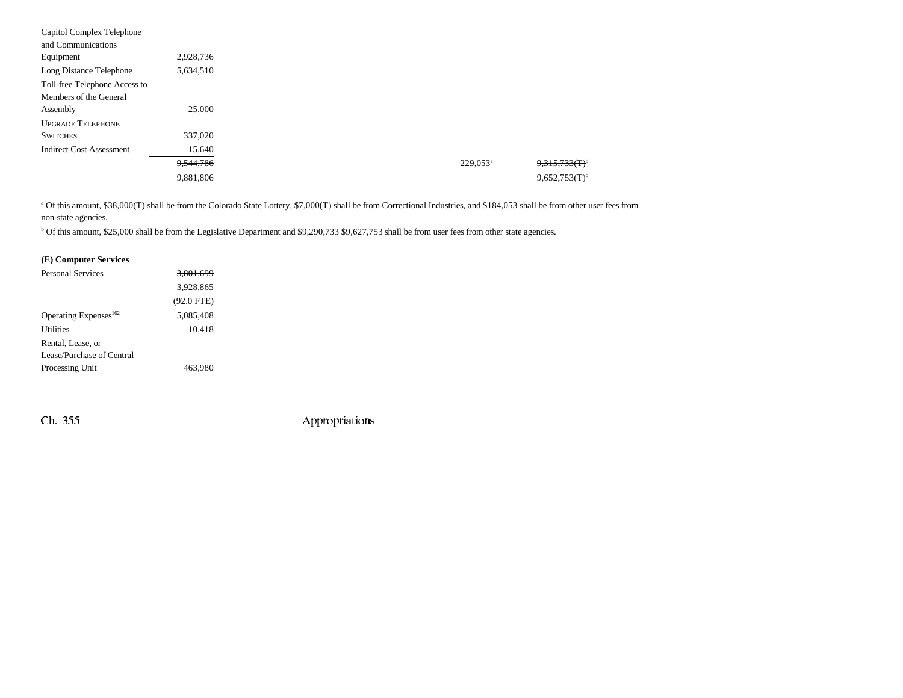| Capitol Complex Telephone       |           |  |                      |                             |
|---------------------------------|-----------|--|----------------------|-----------------------------|
| and Communications              |           |  |                      |                             |
| Equipment                       | 2,928,736 |  |                      |                             |
| Long Distance Telephone         | 5,634,510 |  |                      |                             |
| Toll-free Telephone Access to   |           |  |                      |                             |
| Members of the General          |           |  |                      |                             |
| Assembly                        | 25,000    |  |                      |                             |
| <b>UPGRADE TELEPHONE</b>        |           |  |                      |                             |
| <b>SWITCHES</b>                 | 337,020   |  |                      |                             |
| <b>Indirect Cost Assessment</b> | 15,640    |  |                      |                             |
|                                 | 9,544,786 |  | 229,053 <sup>a</sup> | $9.315.733(f)^6$            |
|                                 | 9,881,806 |  |                      | $9,652,753(T)$ <sup>b</sup> |

<sup>a</sup> Of this amount, \$38,000(T) shall be from the Colorado State Lottery, \$7,000(T) shall be from Correctional Industries, and \$184,053 shall be from other user fees from non-state agencies.

<sup>b</sup> Of this amount, \$25,000 shall be from the Legislative Department and \$9,290,733 \$9,627,753 shall be from user fees from other state agencies.

#### **(E) Computer Services**

| <b>Personal Services</b>          | <del>3.801.699</del> |  |
|-----------------------------------|----------------------|--|
|                                   | 3,928,865            |  |
|                                   | $(92.0$ FTE)         |  |
| Operating Expenses <sup>162</sup> | 5.085.408            |  |
| <b>Utilities</b>                  | 10,418               |  |
| Rental, Lease, or                 |                      |  |
| Lease/Purchase of Central         |                      |  |
| Processing Unit                   | 463.980              |  |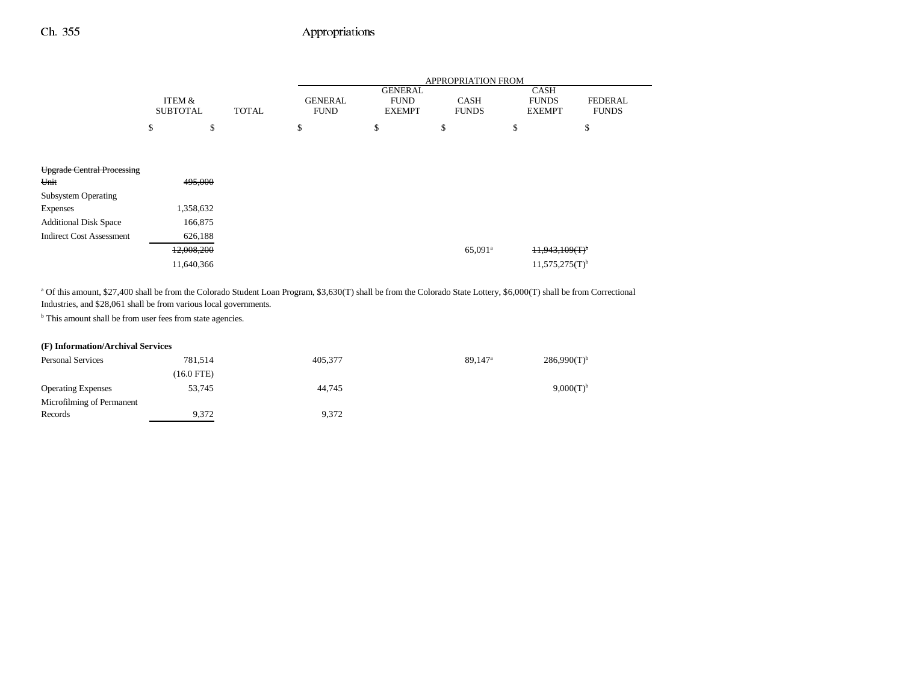$\overline{\phantom{0}}$ 

|                                   |                 |            |              | APPROPRIATION FROM |                               |                     |                              |                |
|-----------------------------------|-----------------|------------|--------------|--------------------|-------------------------------|---------------------|------------------------------|----------------|
|                                   | ITEM &          |            |              | <b>GENERAL</b>     | <b>GENERAL</b><br><b>FUND</b> | <b>CASH</b>         | <b>CASH</b><br><b>FUNDS</b>  | <b>FEDERAL</b> |
|                                   | <b>SUBTOTAL</b> |            | <b>TOTAL</b> | <b>FUND</b>        | <b>EXEMPT</b>                 | <b>FUNDS</b>        | <b>EXEMPT</b>                | <b>FUNDS</b>   |
|                                   | \$              | \$         |              | \$                 | \$                            | \$                  | \$                           | \$             |
|                                   |                 |            |              |                    |                               |                     |                              |                |
| <b>Upgrade Central Processing</b> |                 |            |              |                    |                               |                     |                              |                |
| Unit                              |                 | 495,000    |              |                    |                               |                     |                              |                |
| <b>Subsystem Operating</b>        |                 |            |              |                    |                               |                     |                              |                |
| <b>Expenses</b>                   |                 | 1,358,632  |              |                    |                               |                     |                              |                |
| <b>Additional Disk Space</b>      |                 | 166,875    |              |                    |                               |                     |                              |                |
| <b>Indirect Cost Assessment</b>   |                 | 626,188    |              |                    |                               |                     |                              |                |
|                                   |                 | 12,008,200 |              |                    |                               | 65,091 <sup>a</sup> | H, 943, 109(T)               |                |
|                                   |                 | 11,640,366 |              |                    |                               |                     | $11,575,275(T)$ <sup>b</sup> |                |
|                                   |                 |            |              |                    |                               |                     |                              |                |

<sup>a</sup> Of this amount, \$27,400 shall be from the Colorado Student Loan Program, \$3,630(T) shall be from the Colorado State Lottery, \$6,000(T) shall be from Correctional Industries, and \$28,061 shall be from various local governments.

**b** This amount shall be from user fees from state agencies.

#### **(F) Information/Archival Services**

| <b>Personal Services</b>  | 781.514    | 405.377 | $89.147$ <sup>a</sup> | $286,990(T)$ <sup>b</sup> |
|---------------------------|------------|---------|-----------------------|---------------------------|
|                           | (16.0 FTE) |         |                       |                           |
| <b>Operating Expenses</b> | 53.745     | 44,745  |                       | $9,000(T)^{b}$            |
| Microfilming of Permanent |            |         |                       |                           |
| Records                   | 9.372      | 9,372   |                       |                           |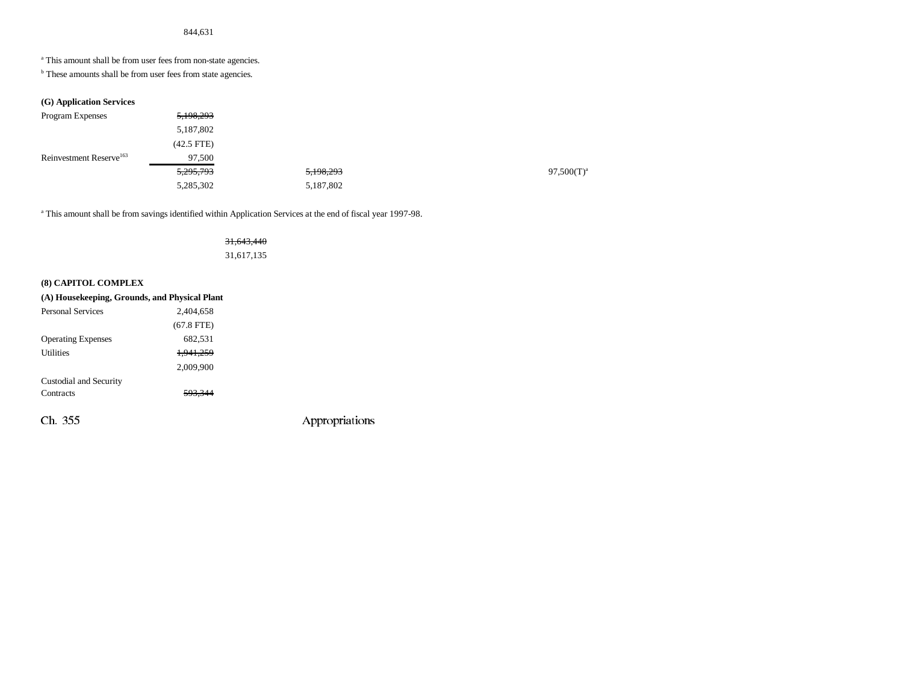<sup>a</sup> This amount shall be from user fees from non-state agencies.

**b** These amounts shall be from user fees from state agencies.

#### **(G) Application Services**

| Program Expenses                    | 5,198,293            |           |               |
|-------------------------------------|----------------------|-----------|---------------|
|                                     | 5,187,802            |           |               |
|                                     | $(42.5$ FTE)         |           |               |
| Reinvestment Reserve <sup>163</sup> | 97,500               |           |               |
|                                     | <del>5,295,793</del> | 5,198,293 | $97,500(T)^3$ |
|                                     | 5,285,302            | 5,187,802 |               |

a This amount shall be from savings identified within Application Services at the end of fiscal year 1997-98.

### 31,643,440 31,617,135

#### **(8) CAPITOL COMPLEX**

| (A) Housekeeping, Grounds, and Physical Plant |              |  |  |  |
|-----------------------------------------------|--------------|--|--|--|
| <b>Personal Services</b>                      | 2.404.658    |  |  |  |
|                                               | $(67.8$ FTE) |  |  |  |
| <b>Operating Expenses</b>                     | 682,531      |  |  |  |
| <b>Utilities</b>                              | 1.941.259    |  |  |  |
|                                               | 2.009.900    |  |  |  |
| Custodial and Security                        |              |  |  |  |
| Contracts                                     | 593.344      |  |  |  |
| Ch. 355                                       |              |  |  |  |

Appropriations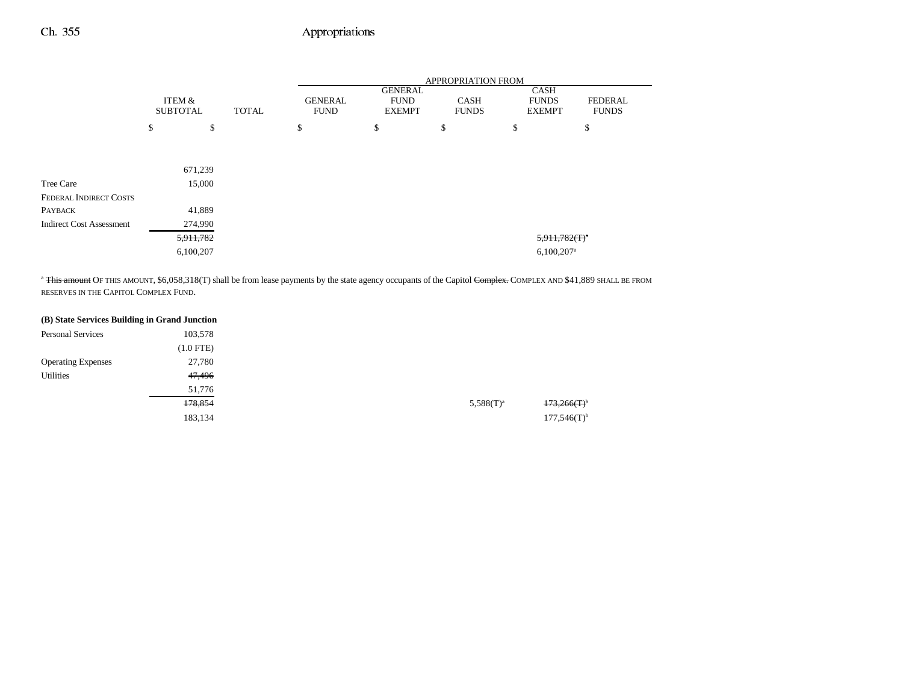|                                 |                           |    |              | APPROPRIATION FROM            |                                                |                             |                                              |                                |
|---------------------------------|---------------------------|----|--------------|-------------------------------|------------------------------------------------|-----------------------------|----------------------------------------------|--------------------------------|
|                                 | ITEM &<br><b>SUBTOTAL</b> |    | <b>TOTAL</b> | <b>GENERAL</b><br><b>FUND</b> | <b>GENERAL</b><br><b>FUND</b><br><b>EXEMPT</b> | <b>CASH</b><br><b>FUNDS</b> | <b>CASH</b><br><b>FUNDS</b><br><b>EXEMPT</b> | <b>FEDERAL</b><br><b>FUNDS</b> |
|                                 | \$                        | \$ |              | \$                            | \$                                             | \$                          | \$                                           | \$                             |
|                                 |                           |    |              |                               |                                                |                             |                                              |                                |
|                                 | 671,239                   |    |              |                               |                                                |                             |                                              |                                |
|                                 |                           |    |              |                               |                                                |                             |                                              |                                |
| Tree Care                       | 15,000                    |    |              |                               |                                                |                             |                                              |                                |
| <b>FEDERAL INDIRECT COSTS</b>   |                           |    |              |                               |                                                |                             |                                              |                                |
| PAYBACK                         | 41,889                    |    |              |                               |                                                |                             |                                              |                                |
| <b>Indirect Cost Assessment</b> | 274,990                   |    |              |                               |                                                |                             |                                              |                                |
|                                 | 5,911,782                 |    |              |                               |                                                |                             | $5,911,782(f)^4$                             |                                |
|                                 | 6,100,207                 |    |              |                               |                                                |                             | $6,100,207$ <sup>a</sup>                     |                                |

<sup>a</sup> This amount OF THIS AMOUNT, \$6,058,318(T) shall be from lease payments by the state agency occupants of the Capitol Complex. COMPLEX AND \$41,889 SHALL BE FROM RESERVES IN THE CAPITOL COMPLEX FUND.

|                           | (B) State Services Building in Grand Junction |
|---------------------------|-----------------------------------------------|
| <b>Personal Services</b>  | 103,578                                       |
|                           | $(1.0$ FTE)                                   |
| <b>Operating Expenses</b> | 27,780                                        |
| Utilities                 | 47,496                                        |
|                           | 51,776                                        |
|                           | 178,854                                       |
|                           | 183,134                                       |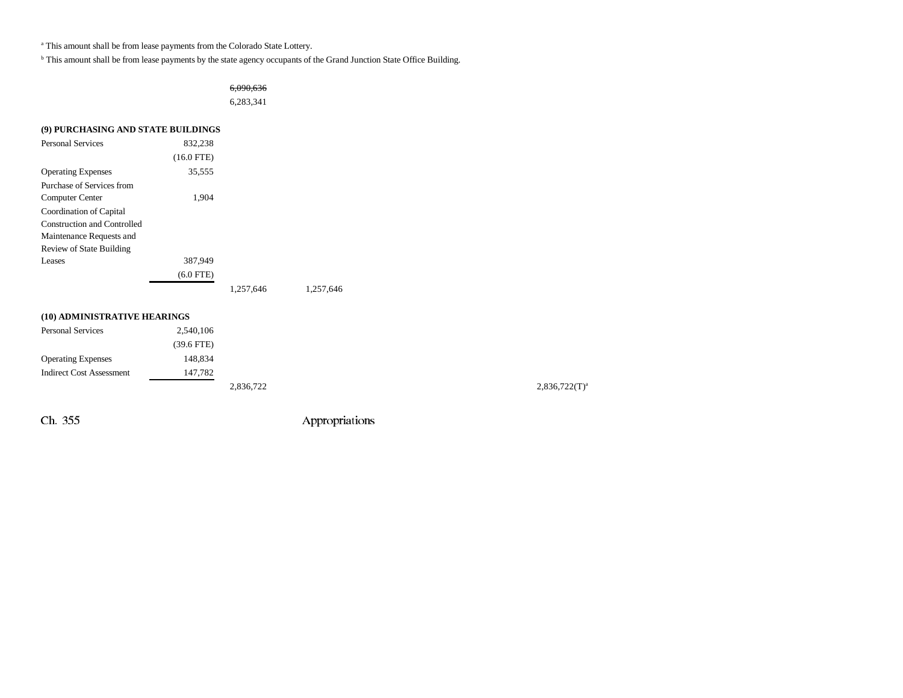<sup>a</sup> This amount shall be from lease payments from the Colorado State Lottery.

b This amount shall be from lease payments by the state agency occupants of the Grand Junction State Office Building.

6,090,636 6,283,341

| (9) PURCHASING AND STATE BUILDINGS |              |           |           |  |  |  |  |
|------------------------------------|--------------|-----------|-----------|--|--|--|--|
| <b>Personal Services</b>           | 832,238      |           |           |  |  |  |  |
|                                    | $(16.0$ FTE) |           |           |  |  |  |  |
| <b>Operating Expenses</b>          | 35,555       |           |           |  |  |  |  |
| Purchase of Services from          |              |           |           |  |  |  |  |
| Computer Center                    | 1,904        |           |           |  |  |  |  |
| Coordination of Capital            |              |           |           |  |  |  |  |
| Construction and Controlled        |              |           |           |  |  |  |  |
| Maintenance Requests and           |              |           |           |  |  |  |  |
| <b>Review of State Building</b>    |              |           |           |  |  |  |  |
| Leases                             | 387,949      |           |           |  |  |  |  |
|                                    | $(6.0$ FTE)  |           |           |  |  |  |  |
|                                    |              | 1,257,646 | 1,257,646 |  |  |  |  |
| (10) ADMINISTRATIVE HEARINGS       |              |           |           |  |  |  |  |
| <b>Personal Services</b>           | 2.540.106    |           |           |  |  |  |  |

|                                 | $(39.6$ FTE) |         |
|---------------------------------|--------------|---------|
| <b>Operating Expenses</b>       | 148.834      |         |
| <b>Indirect Cost Assessment</b> | 147.782      |         |
|                                 |              | 2836.72 |

2,836,722(T)<sup>a</sup> 2,836,722(T)<sup>a</sup>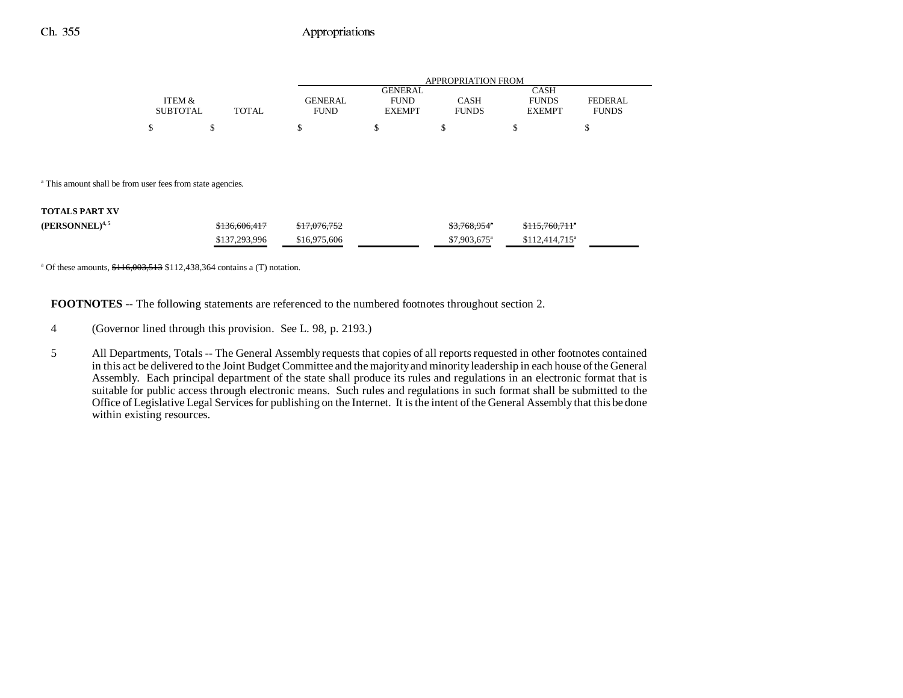|                 |       | APPROPRIATION FROM |               |              |               |                |
|-----------------|-------|--------------------|---------------|--------------|---------------|----------------|
|                 |       |                    | GENERAL.      |              | CASH          |                |
| ITEM &          |       | <b>GENERAL</b>     | <b>FUND</b>   | CASH         | <b>FUNDS</b>  | <b>FEDERAL</b> |
| <b>SUBTOTAL</b> | TOTAL | <b>FUND</b>        | <b>EXEMPT</b> | <b>FUNDS</b> | <b>EXEMPT</b> | <b>FUNDS</b>   |
|                 |       |                    |               |              |               |                |

<sup>a</sup> This amount shall be from user fees from state agencies.

#### **TOTALS PART XV**

| $(PERSONNEL)^{4,5}$ | \$136,606,417 | \$17,076,752 | \$3.768.954"              | $$115.760.711$ <sup>*</sup> |
|---------------------|---------------|--------------|---------------------------|-----------------------------|
|                     | \$137,293,996 | \$16,975,606 | $$7.903.675$ <sup>a</sup> | $$112.414.715$ <sup>a</sup> |

<sup>a</sup> Of these amounts,  $$116,003,513$  \$112,438,364 contains a (T) notation.

**FOOTNOTES** -- The following statements are referenced to the numbered footnotes throughout section 2.

- 4 (Governor lined through this provision. See L. 98, p. 2193.)
- 5 All Departments, Totals -- The General Assembly requests that copies of all reports requested in other footnotes contained in this act be delivered to the Joint Budget Committee and the majority and minority leadership in each house of the General Assembly. Each principal department of the state shall produce its rules and regulations in an electronic format that is suitable for public access through electronic means. Such rules and regulations in such format shall be submitted to the Office of Legislative Legal Services for publishing on the Internet. It is the intent of the General Assembly that this be done within existing resources.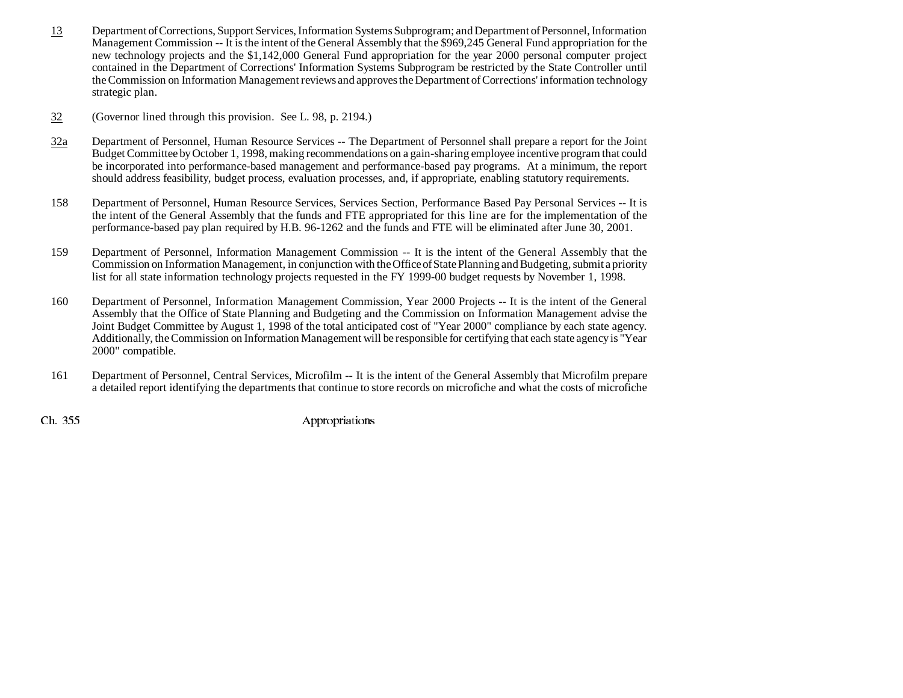- 13 Department of Corrections, Support Services, Information Systems Subprogram; and Department of Personnel, Information Management Commission -- It is the intent of the General Assembly that the \$969,245 General Fund appropriation for the new technology projects and the \$1,142,000 General Fund appropriation for the year 2000 personal computer project contained in the Department of Corrections' Information Systems Subprogram be restricted by the State Controller until the Commission on Information Management reviews and approves the Department of Corrections' information technology strategic plan.
- 32(Governor lined through this provision. See L. 98, p. 2194.)
- 32a Department of Personnel, Human Resource Services -- The Department of Personnel shall prepare a report for the Joint Budget Committee by October 1, 1998, making recommendations on a gain-sharing employee incentive program that could be incorporated into performance-based management and performance-based pay programs. At a minimum, the report should address feasibility, budget process, evaluation processes, and, if appropriate, enabling statutory requirements.
- 158 Department of Personnel, Human Resource Services, Services Section, Performance Based Pay Personal Services -- It is the intent of the General Assembly that the funds and FTE appropriated for this line are for the implementation of the performance-based pay plan required by H.B. 96-1262 and the funds and FTE will be eliminated after June 30, 2001.
- 159 Department of Personnel, Information Management Commission -- It is the intent of the General Assembly that the Commission on Information Management, in conjunction with the Office of State Planning and Budgeting, submit a priority list for all state information technology projects requested in the FY 1999-00 budget requests by November 1, 1998.
- 160 Department of Personnel, Information Management Commission, Year 2000 Projects -- It is the intent of the General Assembly that the Office of State Planning and Budgeting and the Commission on Information Management advise the Joint Budget Committee by August 1, 1998 of the total anticipated cost of "Year 2000" compliance by each state agency. Additionally, the Commission on Information Management will be responsible for certifying that each state agency is "Year 2000" compatible.
- 161 Department of Personnel, Central Services, Microfilm -- It is the intent of the General Assembly that Microfilm prepare a detailed report identifying the departments that continue to store records on microfiche and what the costs of microfiche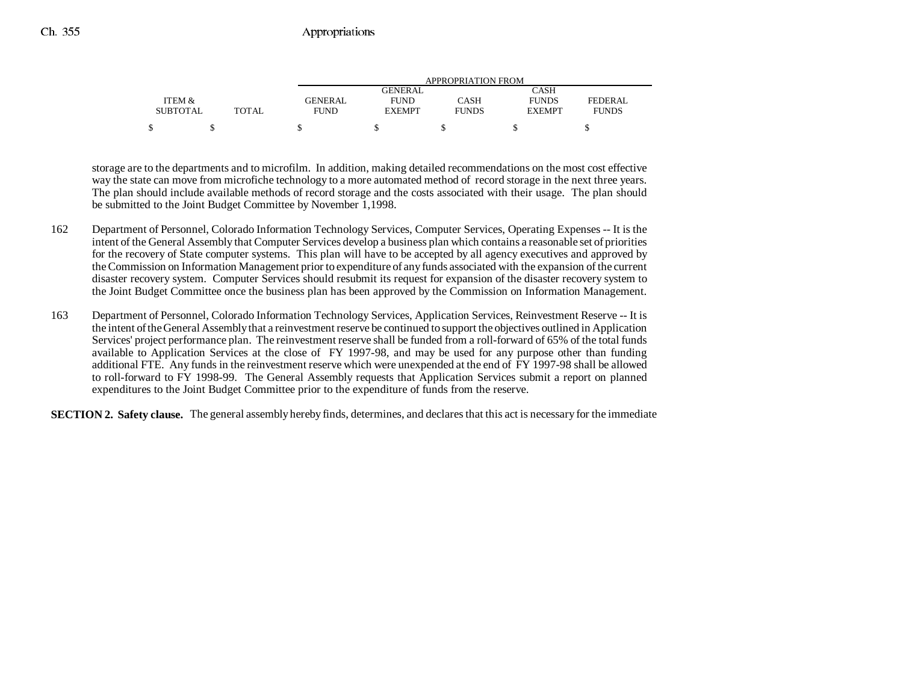|                 |              | APPROPRIATION FROM |                |              |               |              |
|-----------------|--------------|--------------------|----------------|--------------|---------------|--------------|
|                 |              |                    | <b>GENERAL</b> |              | CASH          |              |
| ITEM &          |              | <b>GENERAL</b>     | <b>FUND</b>    | CASH         | <b>FUNDS</b>  | FEDERAL      |
| <b>SUBTOTAL</b> | <b>TOTAL</b> | <b>FUND</b>        | <b>EXEMPT</b>  | <b>FUNDS</b> | <b>EXEMPT</b> | <b>FUNDS</b> |
|                 |              |                    |                |              |               |              |

storage are to the departments and to microfilm. In addition, making detailed recommendations on the most cost effective way the state can move from microfiche technology to a more automated method of record storage in the next three years. The plan should include available methods of record storage and the costs associated with their usage. The plan should be submitted to the Joint Budget Committee by November 1,1998.

- 162 Department of Personnel, Colorado Information Technology Services, Computer Services, Operating Expenses -- It is the intent of the General Assembly that Computer Services develop a business plan which contains a reasonable set of priorities for the recovery of State computer systems. This plan will have to be accepted by all agency executives and approved by the Commission on Information Management prior to expenditure of any funds associated with the expansion of the current disaster recovery system. Computer Services should resubmit its request for expansion of the disaster recovery system to the Joint Budget Committee once the business plan has been approved by the Commission on Information Management.
- 163 Department of Personnel, Colorado Information Technology Services, Application Services, Reinvestment Reserve -- It is the intent of the General Assembly that a reinvestment reserve be continued to support the objectives outlined in Application Services' project performance plan. The reinvestment reserve shall be funded from a roll-forward of 65% of the total funds available to Application Services at the close of FY 1997-98, and may be used for any purpose other than funding additional FTE. Any funds in the reinvestment reserve which were unexpended at the end of FY 1997-98 shall be allowed to roll-forward to FY 1998-99. The General Assembly requests that Application Services submit a report on planned expenditures to the Joint Budget Committee prior to the expenditure of funds from the reserve.

**SECTION 2. Safety clause.** The general assembly hereby finds, determines, and declares that this act is necessary for the immediate